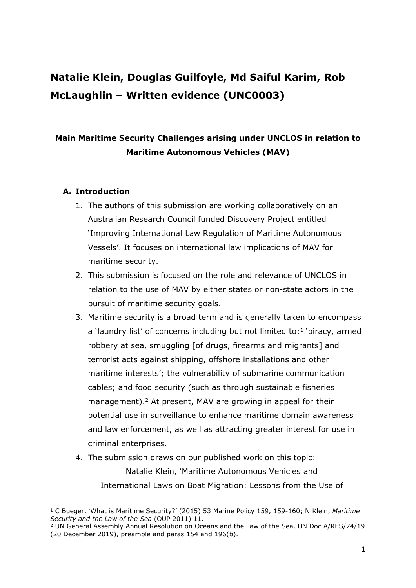# **Natalie Klein, Douglas Guilfoyle, Md Saiful Karim, Rob McLaughlin – Written evidence (UNC0003)**

# **Main Maritime Security Challenges arising under UNCLOS in relation to Maritime Autonomous Vehicles (MAV)**

# **A. Introduction**

- 1. The authors of this submission are working collaboratively on an Australian Research Council funded Discovery Project entitled 'Improving International Law Regulation of Maritime Autonomous Vessels'. It focuses on international law implications of MAV for maritime security.
- 2. This submission is focused on the role and relevance of UNCLOS in relation to the use of MAV by either states or non-state actors in the pursuit of maritime security goals.
- 3. Maritime security is a broad term and is generally taken to encompass a 'laundry list' of concerns including but not limited to: $1$  'piracy, armed robbery at sea, smuggling [of drugs, firearms and migrants] and terrorist acts against shipping, offshore installations and other maritime interests'; the vulnerability of submarine communication cables; and food security (such as through sustainable fisheries management).<sup>2</sup> At present, MAV are growing in appeal for their potential use in surveillance to enhance maritime domain awareness and law enforcement, as well as attracting greater interest for use in criminal enterprises.
- 4. The submission draws on our published work on this topic: Natalie Klein, 'Maritime Autonomous Vehicles and International Laws on Boat Migration: Lessons from the Use of

<sup>1</sup> C Bueger, 'What is Maritime Security?' (2015) 53 Marine Policy 159, 159-160; N Klein, *Maritime Security and the Law of the Sea* (OUP 2011) 11.

<sup>2</sup> UN General Assembly Annual Resolution on Oceans and the Law of the Sea, UN Doc A/RES/74/19 (20 December 2019), preamble and paras 154 and 196(b).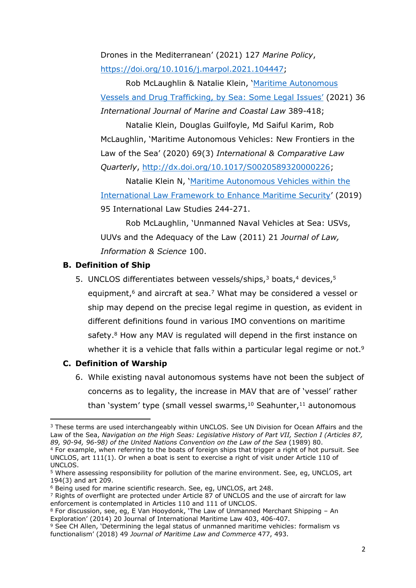Drones in the Mediterranean' (2021) 127 *Marine Policy*, [https://doi.org/10.1016/j.marpol.2021.104447;](https://urldefense.com/v3/__https:/doi.org/10.1016/j.marpol.2021.104447__;!!NVzLfOphnbDXSw!RL8FXEJ-7fG52YzjsL49jldPiNsjbZ_nGrBap9Fd8rkVtdK8Qwe4l9Qh2OEjP0pEEQf0mGk$)

Rob McLaughlin & Natalie Klein, '[Maritime](https://urldefense.com/v3/__https:/brill.com/view/journals/estu/36/3/article-p389_1.xml__;!!NVzLfOphnbDXSw!RL8FXEJ-7fG52YzjsL49jldPiNsjbZ_nGrBap9Fd8rkVtdK8Qwe4l9Qh2OEjP0pE3TWuiW8$) [Autonomous](https://urldefense.com/v3/__https:/brill.com/view/journals/estu/36/3/article-p389_1.xml__;!!NVzLfOphnbDXSw!RL8FXEJ-7fG52YzjsL49jldPiNsjbZ_nGrBap9Fd8rkVtdK8Qwe4l9Qh2OEjP0pE3TWuiW8$) [Vessels](https://urldefense.com/v3/__https:/brill.com/view/journals/estu/36/3/article-p389_1.xml__;!!NVzLfOphnbDXSw!RL8FXEJ-7fG52YzjsL49jldPiNsjbZ_nGrBap9Fd8rkVtdK8Qwe4l9Qh2OEjP0pE3TWuiW8$) [and](https://urldefense.com/v3/__https:/brill.com/view/journals/estu/36/3/article-p389_1.xml__;!!NVzLfOphnbDXSw!RL8FXEJ-7fG52YzjsL49jldPiNsjbZ_nGrBap9Fd8rkVtdK8Qwe4l9Qh2OEjP0pE3TWuiW8$) [Drug](https://urldefense.com/v3/__https:/brill.com/view/journals/estu/36/3/article-p389_1.xml__;!!NVzLfOphnbDXSw!RL8FXEJ-7fG52YzjsL49jldPiNsjbZ_nGrBap9Fd8rkVtdK8Qwe4l9Qh2OEjP0pE3TWuiW8$) [Trafficking,](https://urldefense.com/v3/__https:/brill.com/view/journals/estu/36/3/article-p389_1.xml__;!!NVzLfOphnbDXSw!RL8FXEJ-7fG52YzjsL49jldPiNsjbZ_nGrBap9Fd8rkVtdK8Qwe4l9Qh2OEjP0pE3TWuiW8$) [by](https://urldefense.com/v3/__https:/brill.com/view/journals/estu/36/3/article-p389_1.xml__;!!NVzLfOphnbDXSw!RL8FXEJ-7fG52YzjsL49jldPiNsjbZ_nGrBap9Fd8rkVtdK8Qwe4l9Qh2OEjP0pE3TWuiW8$) [Sea:](https://urldefense.com/v3/__https:/brill.com/view/journals/estu/36/3/article-p389_1.xml__;!!NVzLfOphnbDXSw!RL8FXEJ-7fG52YzjsL49jldPiNsjbZ_nGrBap9Fd8rkVtdK8Qwe4l9Qh2OEjP0pE3TWuiW8$) [Some](https://urldefense.com/v3/__https:/brill.com/view/journals/estu/36/3/article-p389_1.xml__;!!NVzLfOphnbDXSw!RL8FXEJ-7fG52YzjsL49jldPiNsjbZ_nGrBap9Fd8rkVtdK8Qwe4l9Qh2OEjP0pE3TWuiW8$) [Legal](https://urldefense.com/v3/__https:/brill.com/view/journals/estu/36/3/article-p389_1.xml__;!!NVzLfOphnbDXSw!RL8FXEJ-7fG52YzjsL49jldPiNsjbZ_nGrBap9Fd8rkVtdK8Qwe4l9Qh2OEjP0pE3TWuiW8$) [Issues'](https://urldefense.com/v3/__https:/brill.com/view/journals/estu/36/3/article-p389_1.xml__;!!NVzLfOphnbDXSw!RL8FXEJ-7fG52YzjsL49jldPiNsjbZ_nGrBap9Fd8rkVtdK8Qwe4l9Qh2OEjP0pE3TWuiW8$) (2021) 36 *International Journal of Marine and Coastal Law* 389-418;

Natalie Klein, Douglas Guilfoyle, Md Saiful Karim, Rob McLaughlin, 'Maritime Autonomous Vehicles: New Frontiers in the Law of the Sea' (2020) 69(3) *International & Comparative Law Quarterly*, [http://dx.doi.org/10.1017/S0020589320000226;](http://dx.doi.org/10.1017/S0020589320000226)

Natalie Klein N, ['Maritime](https://digital-commons.usnwc.edu/cgi/viewcontent.cgi?article=2907&context=ils) [Autonomous](https://digital-commons.usnwc.edu/cgi/viewcontent.cgi?article=2907&context=ils) [Vehicles](https://digital-commons.usnwc.edu/cgi/viewcontent.cgi?article=2907&context=ils) [within](https://digital-commons.usnwc.edu/cgi/viewcontent.cgi?article=2907&context=ils) [the](https://digital-commons.usnwc.edu/cgi/viewcontent.cgi?article=2907&context=ils) [International](https://digital-commons.usnwc.edu/cgi/viewcontent.cgi?article=2907&context=ils) [Law](https://digital-commons.usnwc.edu/cgi/viewcontent.cgi?article=2907&context=ils) [Framework](https://digital-commons.usnwc.edu/cgi/viewcontent.cgi?article=2907&context=ils) [to](https://digital-commons.usnwc.edu/cgi/viewcontent.cgi?article=2907&context=ils) [Enhance](https://digital-commons.usnwc.edu/cgi/viewcontent.cgi?article=2907&context=ils) [Maritime](https://digital-commons.usnwc.edu/cgi/viewcontent.cgi?article=2907&context=ils) [Security](https://digital-commons.usnwc.edu/cgi/viewcontent.cgi?article=2907&context=ils)' (2019) 95 International Law Studies 244-271.

Rob McLaughlin, 'Unmanned Naval Vehicles at Sea: USVs, UUVs and the Adequacy of the Law (2011) 21 *Journal of Law, Information & Science* 100.

# **B. Definition of Ship**

5. UNCLOS differentiates between vessels/ships,<sup>3</sup> boats,<sup>4</sup> devices,<sup>5</sup> equipment,<sup>6</sup> and aircraft at sea.<sup>7</sup> What may be considered a vessel or ship may depend on the precise legal regime in question, as evident in different definitions found in various IMO conventions on maritime safety.<sup>8</sup> How any MAV is regulated will depend in the first instance on whether it is a vehicle that falls within a particular legal regime or not.<sup>9</sup>

# **C. Definition of Warship**

6. While existing naval autonomous systems have not been the subject of concerns as to legality, the increase in MAV that are of 'vessel' rather than 'system' type (small vessel swarms, $10$  Seahunter, $11$  autonomous

<sup>&</sup>lt;sup>3</sup> These terms are used interchangeably within UNCLOS. See UN Division for Ocean Affairs and the Law of the Sea, *Navigation on the High Seas: Legislative History of Part VII, Section I (Articles 87, 89, 90-94, 96-98) of the United Nations Convention on the Law of the Sea* (1989) 80.

<sup>4</sup> For example, when referring to the boats of foreign ships that trigger a right of hot pursuit. See UNCLOS, art 111(1). Or when a boat is sent to exercise a right of visit under Article 110 of UNCLOS.

<sup>5</sup> Where assessing responsibility for pollution of the marine environment. See, eg, UNCLOS, art 194(3) and art 209.

<sup>6</sup> Being used for marine scientific research. See, eg, UNCLOS, art 248.

<sup>7</sup> Rights of overflight are protected under Article 87 of UNCLOS and the use of aircraft for law enforcement is contemplated in Articles 110 and 111 of UNCLOS.

 $8$  For discussion, see, eg, E Van Hooydonk, 'The Law of Unmanned Merchant Shipping – An Exploration' (2014) 20 Journal of International Maritime Law 403, 406-407.

<sup>9</sup> See CH Allen, 'Determining the legal status of unmanned maritime vehicles: formalism vs functionalism' (2018) 49 *Journal of Maritime Law and Commerce* 477, 493.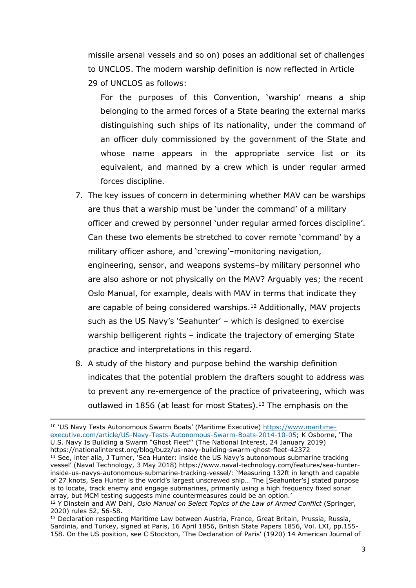missile arsenal vessels and so on) poses an additional set of challenges to UNCLOS. The modern warship definition is now reflected in Article 29 of UNCLOS as follows:

For the purposes of this Convention, 'warship' means a ship belonging to the armed forces of a State bearing the external marks distinguishing such ships of its nationality, under the command of an officer duly commissioned by the government of the State and whose name appears in the appropriate service list or its equivalent, and manned by a crew which is under regular armed forces discipline.

- 7. The key issues of concern in determining whether MAV can be warships are thus that a warship must be 'under the command' of a military officer and crewed by personnel 'under regular armed forces discipline'. Can these two elements be stretched to cover remote 'command' by a military officer ashore, and 'crewing'–monitoring navigation, engineering, sensor, and weapons systems–by military personnel who are also ashore or not physically on the MAV? Arguably yes; the recent Oslo Manual, for example, deals with MAV in terms that indicate they are capable of being considered warships.<sup>12</sup> Additionally, MAV projects such as the US Navy's 'Seahunter' – which is designed to exercise warship belligerent rights – indicate the trajectory of emerging State practice and interpretations in this regard.
- 8. A study of the history and purpose behind the warship definition indicates that the potential problem the drafters sought to address was to prevent any re-emergence of the practice of privateering, which was outlawed in 1856 (at least for most States).<sup>13</sup> The emphasis on the

<sup>10</sup> 'US Navy Tests Autonomous Swarm Boats' (Maritime Executive) [https://www.maritime](about:blank)[executive.com/article/US-Navy-Tests-Autonomous-Swarm-Boats-2014-10-05;](about:blank) K Osborne, 'The U.S. Navy Is Building a Swarm "Ghost Fleet"' (The National Interest, 24 January 2019) https://nationalinterest.org/blog/buzz/us-navy-building-swarm-ghost-fleet-42372 <sup>11</sup> See, inter alia, J Turner, Sea Hunter: inside the US Navy's autonomous submarine tracking vessel' (Naval Technology, 3 May 2018) https://www.naval-technology.com/features/sea-hunterinside-us-navys-autonomous-submarine-tracking-vessel/: 'Measuring 132ft in length and capable of 27 knots, Sea Hunter is the world's largest unscrewed ship… The [Seahunter's] stated purpose is to locate, track enemy and engage submarines, primarily using a high frequency fixed sonar array, but MCM testing suggests mine countermeasures could be an option.'

<sup>12</sup> Y Dinstein and AW Dahl, *Oslo Manual on Select Topics of the Law of Armed Conflict* (Springer, 2020) rules 52, 56-58.

<sup>&</sup>lt;sup>13</sup> Declaration respecting Maritime Law between Austria, France, Great Britain, Prussia, Russia, Sardinia, and Turkey, signed at Paris, 16 April 1856, British State Papers 1856, Vol. LXI, pp.155- 158. On the US position, see C Stockton, 'The Declaration of Paris' (1920) 14 American Journal of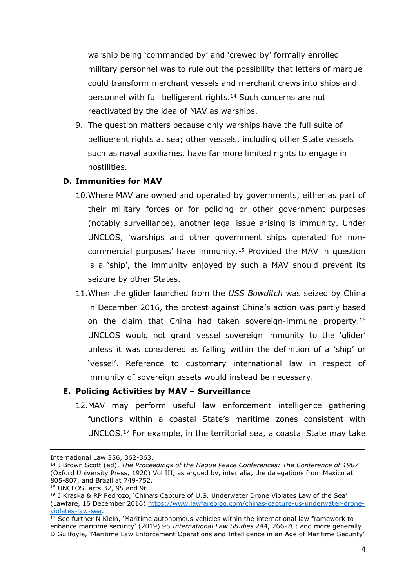warship being 'commanded by' and 'crewed by' formally enrolled military personnel was to rule out the possibility that letters of marque could transform merchant vessels and merchant crews into ships and personnel with full belligerent rights.<sup>14</sup> Such concerns are not reactivated by the idea of MAV as warships.

9. The question matters because only warships have the full suite of belligerent rights at sea; other vessels, including other State vessels such as naval auxiliaries, have far more limited rights to engage in hostilities.

#### **D. Immunities for MAV**

- 10.Where MAV are owned and operated by governments, either as part of their military forces or for policing or other government purposes (notably surveillance), another legal issue arising is immunity. Under UNCLOS, 'warships and other government ships operated for noncommercial purposes' have immunity.<sup>15</sup> Provided the MAV in question is a 'ship', the immunity enjoyed by such a MAV should prevent its seizure by other States.
- 11.When the glider launched from the *USS Bowditch* was seized by China in December 2016, the protest against China's action was partly based on the claim that China had taken sovereign-immune property.<sup>16</sup> UNCLOS would not grant vessel sovereign immunity to the 'glider' unless it was considered as falling within the definition of a 'ship' or 'vessel'. Reference to customary international law in respect of immunity of sovereign assets would instead be necessary.

#### **E. Policing Activities by MAV – Surveillance**

12.MAV may perform useful law enforcement intelligence gathering functions within a coastal State's maritime zones consistent with UNCLOS.<sup>17</sup> For example, in the territorial sea, a coastal State may take

International Law 356, 362-363.

<sup>14</sup> J Brown Scott (ed), *The Proceedings of the Hague Peace Conferences: The Conference of 1907* (Oxford University Press, 1920) Vol III, as argued by, inter alia, the delegations from Mexico at 805-807, and Brazil at 749-752.

<sup>15</sup> UNCLOS, arts 32, 95 and 96.

<sup>16</sup> J Kraska & RP Pedrozo, 'China's Capture of U.S. Underwater Drone Violates Law of the Sea' (Lawfare, 16 December 2016) [https://www.lawfareblog.com/chinas-capture-us-underwater-drone](about:blank)[violates-law-sea.](about:blank)

<sup>&</sup>lt;sup>17</sup> See further N Klein, 'Maritime autonomous vehicles within the international law framework to enhance maritime security' (2019) 95 *International Law Studies* 244, 266-70; and more generally D Guilfoyle, 'Maritime Law Enforcement Operations and Intelligence in an Age of Maritime Security'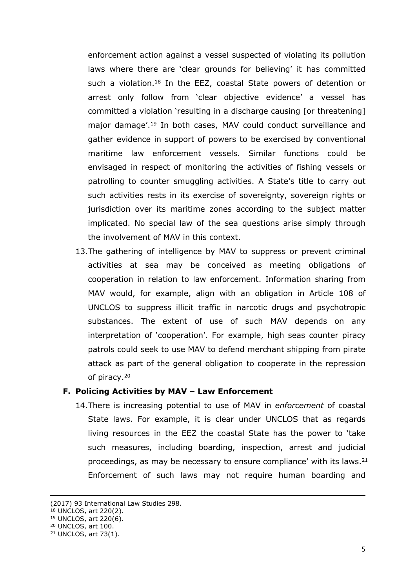enforcement action against a vessel suspected of violating its pollution laws where there are 'clear grounds for believing' it has committed such a violation.<sup>18</sup> In the EEZ, coastal State powers of detention or arrest only follow from 'clear objective evidence' a vessel has committed a violation 'resulting in a discharge causing [or threatening] major damage'.<sup>19</sup> In both cases, MAV could conduct surveillance and gather evidence in support of powers to be exercised by conventional maritime law enforcement vessels. Similar functions could be envisaged in respect of monitoring the activities of fishing vessels or patrolling to counter smuggling activities. A State's title to carry out such activities rests in its exercise of sovereignty, sovereign rights or jurisdiction over its maritime zones according to the subject matter implicated. No special law of the sea questions arise simply through the involvement of MAV in this context.

13.The gathering of intelligence by MAV to suppress or prevent criminal activities at sea may be conceived as meeting obligations of cooperation in relation to law enforcement. Information sharing from MAV would, for example, align with an obligation in Article 108 of UNCLOS to suppress illicit traffic in narcotic drugs and psychotropic substances. The extent of use of such MAV depends on any interpretation of 'cooperation'. For example, high seas counter piracy patrols could seek to use MAV to defend merchant shipping from pirate attack as part of the general obligation to cooperate in the repression of piracy.<sup>20</sup>

#### **F. Policing Activities by MAV – Law Enforcement**

14.There is increasing potential to use of MAV in *enforcement* of coastal State laws. For example, it is clear under UNCLOS that as regards living resources in the EEZ the coastal State has the power to 'take such measures, including boarding, inspection, arrest and judicial proceedings, as may be necessary to ensure compliance' with its laws.<sup>21</sup> Enforcement of such laws may not require human boarding and

<sup>(2017)</sup> 93 International Law Studies 298.

<sup>18</sup> UNCLOS, art 220(2).

<sup>19</sup> UNCLOS, art 220(6).

<sup>20</sup> UNCLOS, art 100.

<sup>21</sup> UNCLOS, art 73(1).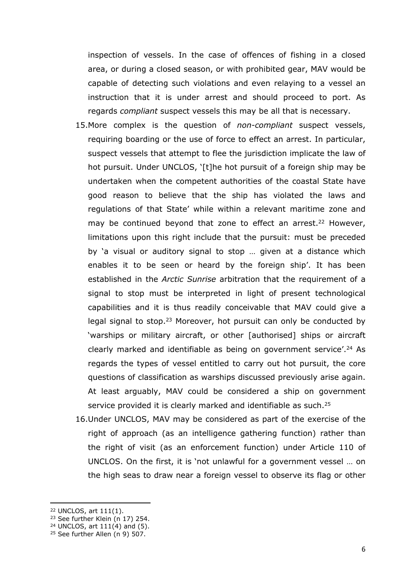inspection of vessels. In the case of offences of fishing in a closed area, or during a closed season, or with prohibited gear, MAV would be capable of detecting such violations and even relaying to a vessel an instruction that it is under arrest and should proceed to port. As regards *compliant* suspect vessels this may be all that is necessary.

- 15.More complex is the question of *non-compliant* suspect vessels, requiring boarding or the use of force to effect an arrest. In particular, suspect vessels that attempt to flee the jurisdiction implicate the law of hot pursuit. Under UNCLOS, '[t]he hot pursuit of a foreign ship may be undertaken when the competent authorities of the coastal State have good reason to believe that the ship has violated the laws and regulations of that State' while within a relevant maritime zone and may be continued beyond that zone to effect an arrest.<sup>22</sup> However, limitations upon this right include that the pursuit: must be preceded by 'a visual or auditory signal to stop … given at a distance which enables it to be seen or heard by the foreign ship'. It has been established in the *Arctic Sunrise* arbitration that the requirement of a signal to stop must be interpreted in light of present technological capabilities and it is thus readily conceivable that MAV could give a legal signal to stop.<sup>23</sup> Moreover, hot pursuit can only be conducted by 'warships or military aircraft, or other [authorised] ships or aircraft clearly marked and identifiable as being on government service'.<sup>24</sup> As regards the types of vessel entitled to carry out hot pursuit, the core questions of classification as warships discussed previously arise again. At least arguably, MAV could be considered a ship on government service provided it is clearly marked and identifiable as such.<sup>25</sup>
- 16.Under UNCLOS, MAV may be considered as part of the exercise of the right of approach (as an intelligence gathering function) rather than the right of visit (as an enforcement function) under Article 110 of UNCLOS. On the first, it is 'not unlawful for a government vessel … on the high seas to draw near a foreign vessel to observe its flag or other

<sup>22</sup> UNCLOS, art 111(1).

 $23$  See further Klein (n 17) 254.

 $24$  UNCLOS, art  $111(4)$  and (5).

 $25$  See further Allen (n 9) 507.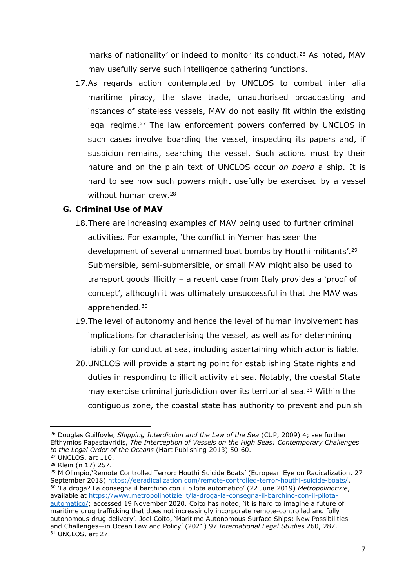marks of nationality' or indeed to monitor its conduct.<sup>26</sup> As noted, MAV may usefully serve such intelligence gathering functions.

17.As regards action contemplated by UNCLOS to combat inter alia maritime piracy, the slave trade, unauthorised broadcasting and instances of stateless vessels, MAV do not easily fit within the existing legal regime.<sup>27</sup> The law enforcement powers conferred by UNCLOS in such cases involve boarding the vessel, inspecting its papers and, if suspicion remains, searching the vessel. Such actions must by their nature and on the plain text of UNCLOS occur *on board* a ship. It is hard to see how such powers might usefully be exercised by a vessel without human crew.<sup>28</sup>

# **G. Criminal Use of MAV**

- 18.There are increasing examples of MAV being used to further criminal activities. For example, 'the conflict in Yemen has seen the development of several unmanned boat bombs by Houthi militants'.<sup>29</sup> Submersible, semi-submersible, or small MAV might also be used to transport goods illicitly – a recent case from Italy provides a 'proof of concept', although it was ultimately unsuccessful in that the MAV was apprehended.<sup>30</sup>
- 19.The level of autonomy and hence the level of human involvement has implications for characterising the vessel, as well as for determining liability for conduct at sea, including ascertaining which actor is liable.
- 20.UNCLOS will provide a starting point for establishing State rights and duties in responding to illicit activity at sea. Notably, the coastal State may exercise criminal jurisdiction over its territorial sea.<sup>31</sup> Within the contiguous zone, the coastal state has authority to prevent and punish

<sup>26</sup> Douglas Guilfoyle, *Shipping Interdiction and the Law of the Sea* (CUP, 2009) 4; see further Efthymios Papastavridis, *The Interception of Vessels on the High Seas: Contemporary Challenges to the Legal Order of the Oceans* (Hart Publishing 2013) 50-60.

<sup>27</sup> UNCLOS, art 110.

<sup>28</sup> Klein (n 17) 257.

<sup>&</sup>lt;sup>29</sup> M Olimpio, Remote Controlled Terror: Houthi Suicide Boats' (European Eye on Radicalization, 27 September 2018) <https://eeradicalization.com/remote-controlled-terror-houthi-suicide-boats/>. <sup>30</sup> 'La droga? La consegna il barchino con il pilota automatico' (22 June 2019) *Metropolinotizie*, available at [https://www.metropolinotizie.it/la-droga-la-consegna-il-barchino-con-il-pilota](about:blank)[automatico/;](about:blank) accessed 19 November 2020. Coito has noted, 'it is hard to imagine a future of maritime drug trafficking that does not increasingly incorporate remote-controlled and fully autonomous drug delivery'. Joel Coito, 'Maritime Autonomous Surface Ships: New Possibilities and Challenges—in Ocean Law and Policy' (2021) 97 *International Legal Studies* 260, 287. <sup>31</sup> UNCLOS, art 27.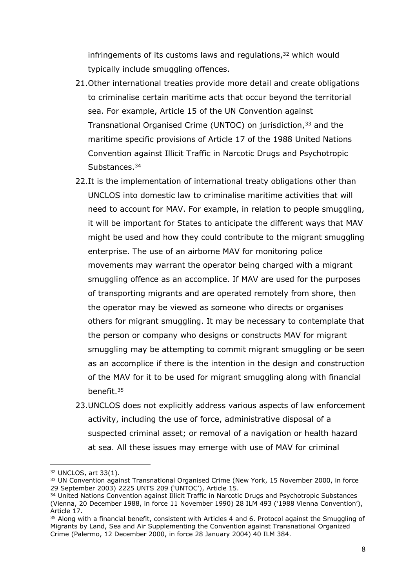infringements of its customs laws and regulations, $32$  which would typically include smuggling offences.

- 21.Other international treaties provide more detail and create obligations to criminalise certain maritime acts that occur beyond the territorial sea. For example, Article 15 of the UN Convention against Transnational Organised Crime (UNTOC) on jurisdiction,<sup>33</sup> and the maritime specific provisions of Article 17 of the 1988 United Nations Convention against Illicit Traffic in Narcotic Drugs and Psychotropic Substances.<sup>34</sup>
- 22.It is the implementation of international treaty obligations other than UNCLOS into domestic law to criminalise maritime activities that will need to account for MAV. For example, in relation to people smuggling, it will be important for States to anticipate the different ways that MAV might be used and how they could contribute to the migrant smuggling enterprise. The use of an airborne MAV for monitoring police movements may warrant the operator being charged with a migrant smuggling offence as an accomplice. If MAV are used for the purposes of transporting migrants and are operated remotely from shore, then the operator may be viewed as someone who directs or organises others for migrant smuggling. It may be necessary to contemplate that the person or company who designs or constructs MAV for migrant smuggling may be attempting to commit migrant smuggling or be seen as an accomplice if there is the intention in the design and construction of the MAV for it to be used for migrant smuggling along with financial benefit.<sup>35</sup>
- 23.UNCLOS does not explicitly address various aspects of law enforcement activity, including the use of force, administrative disposal of a suspected criminal asset; or removal of a navigation or health hazard at sea. All these issues may emerge with use of MAV for criminal

<sup>32</sup> UNCLOS, art 33(1).

<sup>&</sup>lt;sup>33</sup> UN Convention against Transnational Organised Crime (New York, 15 November 2000, in force 29 September 2003) 2225 UNTS 209 ('UNTOC'), Article 15.

<sup>34</sup> United Nations Convention against Illicit Traffic in Narcotic Drugs and Psychotropic Substances (Vienna, 20 December 1988, in force 11 November 1990) 28 ILM 493 ('1988 Vienna Convention'), Article 17.

<sup>&</sup>lt;sup>35</sup> Along with a financial benefit, consistent with Articles 4 and 6. Protocol against the Smuggling of Migrants by Land, Sea and Air Supplementing the Convention against Transnational Organized Crime (Palermo, 12 December 2000, in force 28 January 2004) 40 ILM 384.